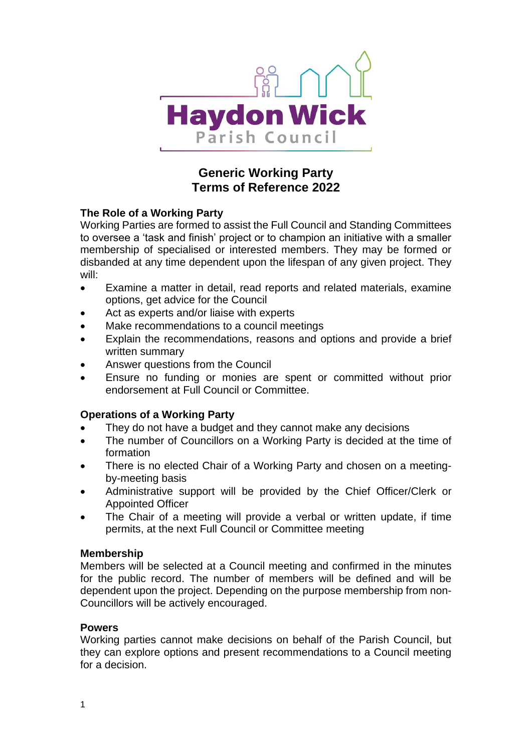

# **Generic Working Party Terms of Reference 2022**

# **The Role of a Working Party**

Working Parties are formed to assist the Full Council and Standing Committees to oversee a 'task and finish' project or to champion an initiative with a smaller membership of specialised or interested members. They may be formed or disbanded at any time dependent upon the lifespan of any given project. They will:

- Examine a matter in detail, read reports and related materials, examine options, get advice for the Council
- Act as experts and/or liaise with experts
- Make recommendations to a council meetings
- Explain the recommendations, reasons and options and provide a brief written summary
- Answer questions from the Council
- Ensure no funding or monies are spent or committed without prior endorsement at Full Council or Committee.

# **Operations of a Working Party**

- They do not have a budget and they cannot make any decisions
- The number of Councillors on a Working Party is decided at the time of formation
- There is no elected Chair of a Working Party and chosen on a meetingby-meeting basis
- Administrative support will be provided by the Chief Officer/Clerk or Appointed Officer
- The Chair of a meeting will provide a verbal or written update, if time permits, at the next Full Council or Committee meeting

## **Membership**

Members will be selected at a Council meeting and confirmed in the minutes for the public record. The number of members will be defined and will be dependent upon the project. Depending on the purpose membership from non-Councillors will be actively encouraged.

## **Powers**

Working parties cannot make decisions on behalf of the Parish Council, but they can explore options and present recommendations to a Council meeting for a decision.